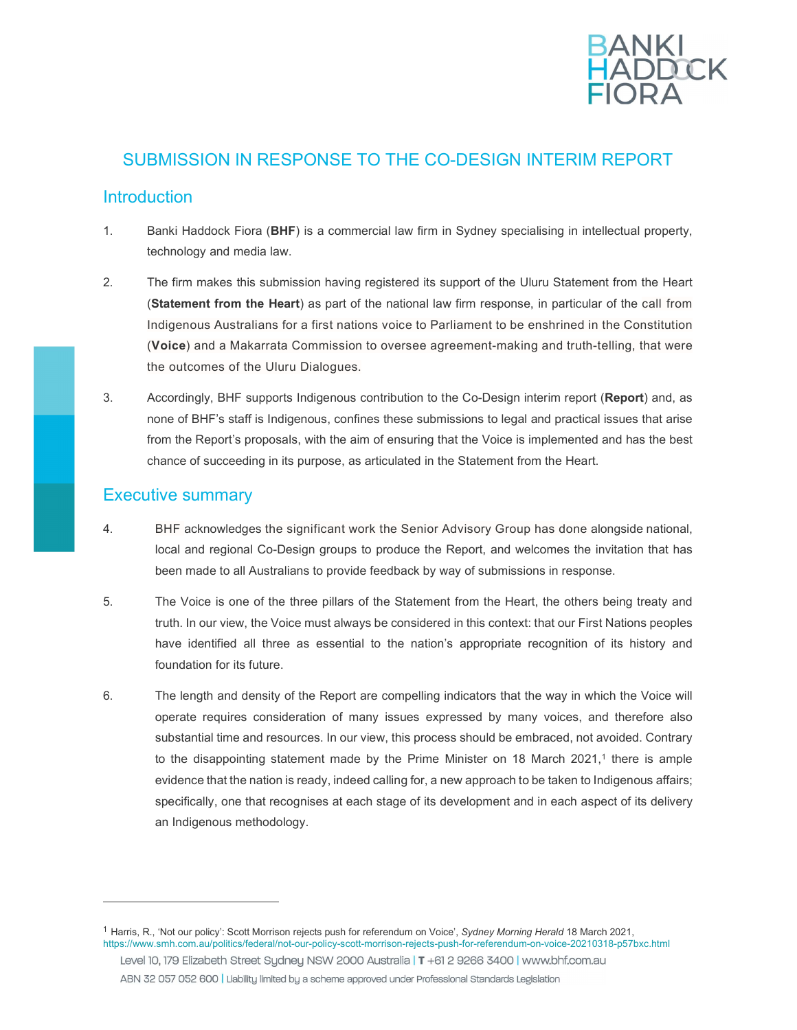

# SUBMISSION IN RESPONSE TO THE CO-DESIGN INTERIM REPORT

## **Introduction**

- 1. Banki Haddock Fiora (BHF) is a commercial law firm in Sydney specialising in intellectual property, technology and media law.
- $2<sup>1</sup>$ **(Statement from the Heart)** as part of the national law firm response, in particular of the call from Indigenous Australians for a first nations voice to Parliament to be enshrined in the Constitution (Voice) and a Makarrata Commission to oversee agreement-making and truth-telling, that were the outcomes of the Uluru Dialogues. The firm makes this submission having registered its support of the Uluru Statement from the Heart
- 3. Accordingly, BHF supports Indigenous contribution to the Co-Design interim report (Report) and, as none of BHF's staff is Indigenous, confines these submissions to legal and practical issues that arise from the Report's proposals, with the aim of ensuring that the Voice is implemented and has the best chance of succeeding in its purpose, as articulated in the Statement from the Heart.

## Executive summary

- 4. BHF acknowledges the significant work the Senior Advisory Group has done alongside national, local and regional Co-Design groups to produce the Report, and welcomes the invitation that has been made to all Australians to provide feedback by way of submissions in response.
- 5. truth. In our view, the Voice must always be considered in this context: that our First Nations peoples have identified all three as essential to the nation's appropriate recognition of its history and foundation for its future. The Voice is one of the three pillars of the Statement from the Heart, the others being treaty and
- 6. operate requires consideration of many issues expressed by many voices, and therefore also substantial time and resources. In our view, this process should be embraced, not avoided. Contrary to the disappointing statement made by the Prime Minister on 18 March 2021,<sup>1</sup> there is ample evidence that the nation is ready, indeed calling for, a new approach to be taken to Indigenous affairs; specifically, one that recognises at each stage of its development and in each aspect of its delivery an Indigenous methodology. The length and density of the Report are compelling indicators that the way in which the Voice will

<sup>&</sup>lt;sup>1</sup> Harris, R., 'Not our policy': Scott Morrison rejects push for referendum on Voice', Sydney Morning Herald 18 March 2021, https://www.smh.com.au/politics/federal/not-our-policy-scott-morrison-rejects-push-for-referendum-on-voice-20210318-p57bxc.html Level 10, 179 Elizabeth Street Sydney NSW 2000 Australia | T +61 2 9266 3400 | www.bhf.com.au ABN 32 057 052 600 | Liability limited by a scheme approved under Professional Standards Legislation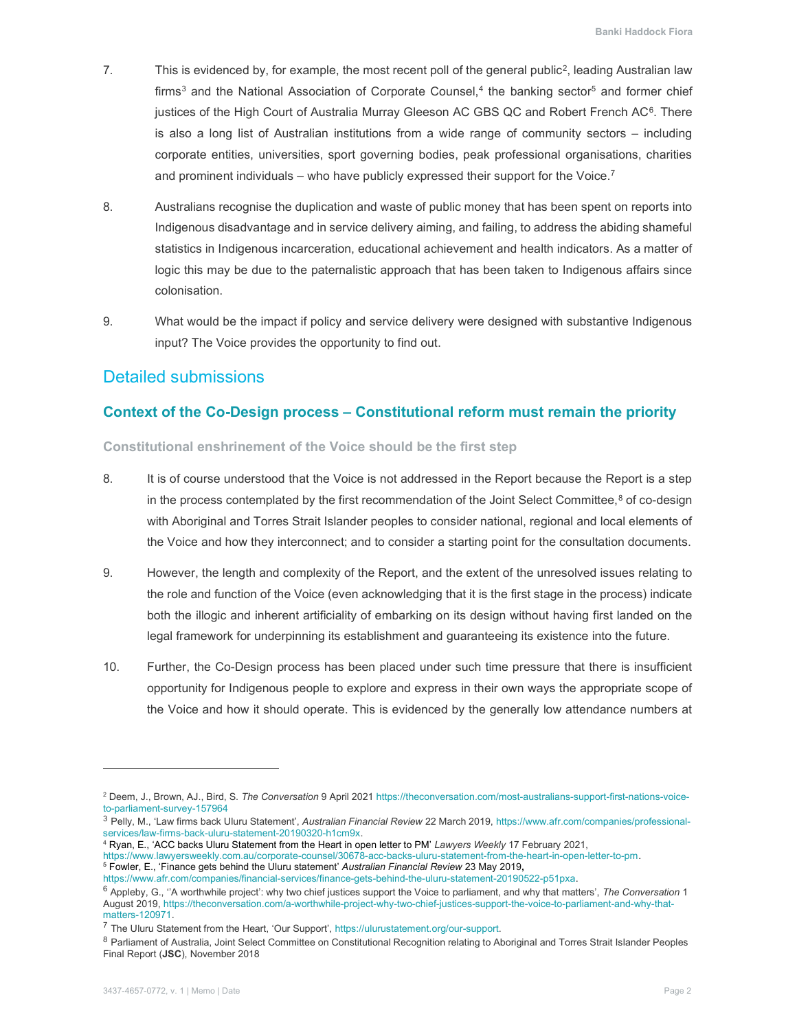- 7. This is evidenced by, for example, the most recent poll of the general public<sup>2</sup>, leading Australian law firms<sup>3</sup> and the National Association of Corporate Counsel,<sup>4</sup> the banking sector<sup>5</sup> and former chief justices of the High Court of Australia Murray Gleeson AC GBS QC and Robert French AC $6$ . There is also a long list of Australian institutions from a wide range of community sectors – including corporate entities, universities, sport governing bodies, peak professional organisations, charities and prominent individuals – who have publicly expressed their support for the Voice.<sup>7</sup>
- 8. Australians recognise the duplication and waste of public money that has been spent on reports into Indigenous disadvantage and in service delivery aiming, and failing, to address the abiding shameful statistics in Indigenous incarceration, educational achievement and health indicators. As a matter of logic this may be due to the paternalistic approach that has been taken to Indigenous affairs since colonisation.
- colonisation.<br>9. What would be the impact if policy and service delivery were designed with substantive Indigenous input? The Voice provides the opportunity to find out.

## Detailed submissions

## Context of the Co-Design process – Constitutional reform must remain the priority

Constitutional enshrinement of the Voice should be the first step

- 8. in the process contemplated by the first recommendation of the Joint Select Committee,<sup>8</sup> of co-design with Aboriginal and Torres Strait Islander peoples to consider national, regional and local elements of the Voice and how they interconnect; and to consider a starting point for the consultation documents. It is of course understood that the Voice is not addressed in the Report because the Report is a step
- 9. However, the length and complexity of the Report, and the extent of the unresolved issues relating to the role and function of the Voice (even acknowledging that it is the first stage in the process) indicate both the illogic and inherent artificiality of embarking on its design without having first landed on the legal framework for underpinning its establishment and guaranteeing its existence into the future.
- 10. Further, the Co-Design process has been placed under such time pressure that there is insufficient opportunity for Indigenous people to explore and express in their own ways the appropriate scope of the Voice and how it should operate. This is evidenced by the generally low attendance numbers at

<sup>&</sup>lt;sup>2</sup> Deem, J., Brown, AJ., Bird, S. *The Conversation* 9 April 2021 https://theconversation.com/most-australians-support-first-nations-voiceto-parliament-survey-157964

<sup>&</sup>lt;sup>3</sup> Pelly, M., 'Law firms back Uluru Statement', *Australian Financial Review* 22 March 2019, https://www.afr.com/companies/professional-services/law-firms-back-uluru-statement-20190320-h1cm9x.

<sup>4</sup> Ryan, E., 'ACC backs Uluru Statement from the Heart in open letter to PM' Lawyers Weekly 17 February 2021,

 https://www.lawyersweekly.com.au/corporate-counsel/30678-acc-backs-uluru-statement-from-the-heart-in-open-letter-to-pm. <sup>5</sup> Fowler, E., 'Finance gets behind the Uluru statement' *Australian Financial Review* 23 May 2019,

 https://www.afr.com/companies/financial-services/finance-gets-behind-the-uluru-statement-20190522-p51pxa.

 $^6$  Appleby, G., ''A worthwhile project': why two chief justices support the Voice to parliament, and why that matters', *The Conversation* 1 August 2019, https://theconversation.com/a-worthwhile-project-why-two-chief-justices-support-the-voice-to-parliament-and-why-thatmatters-120971.

<sup>&</sup>lt;sup>7</sup> The Uluru Statement from the Heart, 'Our Support', https://ulurustatement.org/our-support.

 $^8$  Parliament of Australia, Joint Select Committee on Constitutional Recognition relating to Aboriginal and Torres Strait Islander Peoples Final Report (JSC), November 2018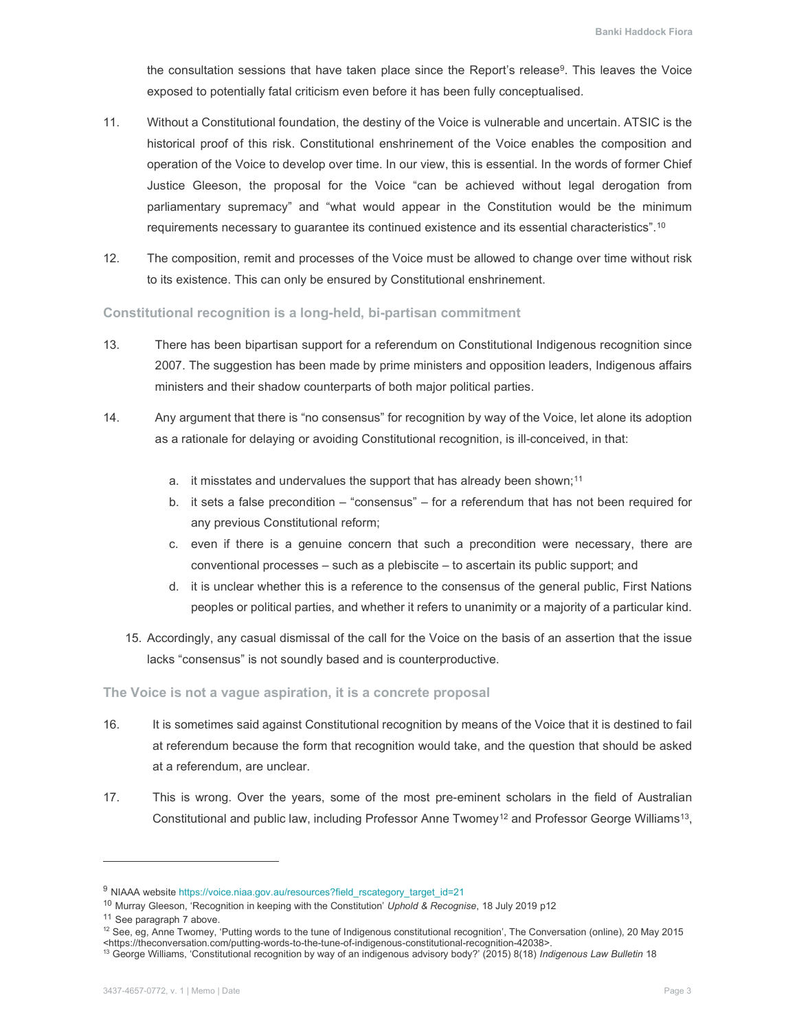the consultation sessions that have taken place since the Report's release $9$ . This leaves the Voice exposed to potentially fatal criticism even before it has been fully conceptualised.

- 11. Without a Constitutional foundation, the destiny of the Voice is vulnerable and uncertain. ATSIC is the historical proof of this risk. Constitutional enshrinement of the Voice enables the composition and operation of the Voice to develop over time. In our view, this is essential. In the words of former Chief Justice Gleeson, the proposal for the Voice "can be achieved without legal derogation from parliamentary supremacy" and "what would appear in the Constitution would be the minimum requirements necessary to guarantee its continued existence and its essential characteristics". $^{\rm 10}$
- $12.$  to its existence. This can only be ensured by Constitutional enshrinement. The composition, remit and processes of the Voice must be allowed to change over time without risk

#### Constitutional recognition is a long-held, bi-partisan commitment

- 13. There has been bipartisan support for a referendum on Constitutional Indigenous recognition since 2007. The suggestion has been made by prime ministers and opposition leaders, Indigenous affairs ministers and their shadow counterparts of both major political parties.
- $14.$  as a rationale for delaying or avoiding Constitutional recognition, is ill-conceived, in that: Any argument that there is "no consensus" for recognition by way of the Voice, let alone its adoption
	- a. it misstates and undervalues the support that has already been shown;<sup>11</sup>
	- b.  $\,$  it sets a false precondition "consensus" for a referendum that has not been required for any previous Constitutional reform;
	- c. even if there is a genuine concern that such a precondition were necessary, there are conventional processes – such as a plebiscite – to ascertain its public support; and
	- d. it is unclear whether this is a reference to the consensus of the general public, First Nations peoples or political parties, and whether it refers to unanimity or a majority of a particular kind.
	- 15. Accordingly, any casual dismissal of the call for the Voice on the basis of an assertion that the issue lacks "consensus" is not soundly based and is counterproductive.

#### The Voice is not a vague aspiration, it is a concrete proposal

- 16. at referendum because the form that recognition would take, and the question that should be asked at a referendum, are unclear. It is sometimes said against Constitutional recognition by means of the Voice that it is destined to fail
- $17<sub>1</sub>$ Constitutional and public law, including Professor Anne Twomey<sup>12</sup> and Professor George Williams<sup>13</sup>, This is wrong. Over the years, some of the most pre-eminent scholars in the field of Australian

<sup>9</sup> NIAAA website https://voice.niaa.gov.au/resources?field\_rscategory\_target\_id=21

<sup>&</sup>lt;sup>10</sup> Murray Gleeson, 'Recognition in keeping with the Constitution' Uphold & Recognise, 18 July 2019 p12

<sup>&</sup>lt;sup>11</sup> See paragraph 7 above.

<sup>&</sup>lt;sup>11</sup> See paragraph 7 above.<br><sup>12</sup> See, eg, Anne Twomey, 'Putting words to the tune of Indigenous constitutional recognition', The Conversation (online), 20 May 2015

<sup>&</sup>lt;https://theconversation.com/putting-words-to-the-tune-of-indigenous-constitutional-recognition-42038>.<br><sup>13</sup> George Williams, 'Constitutional recognition by way of an indigenous advisory body?' (2015) 8(18) *Indigenous Law*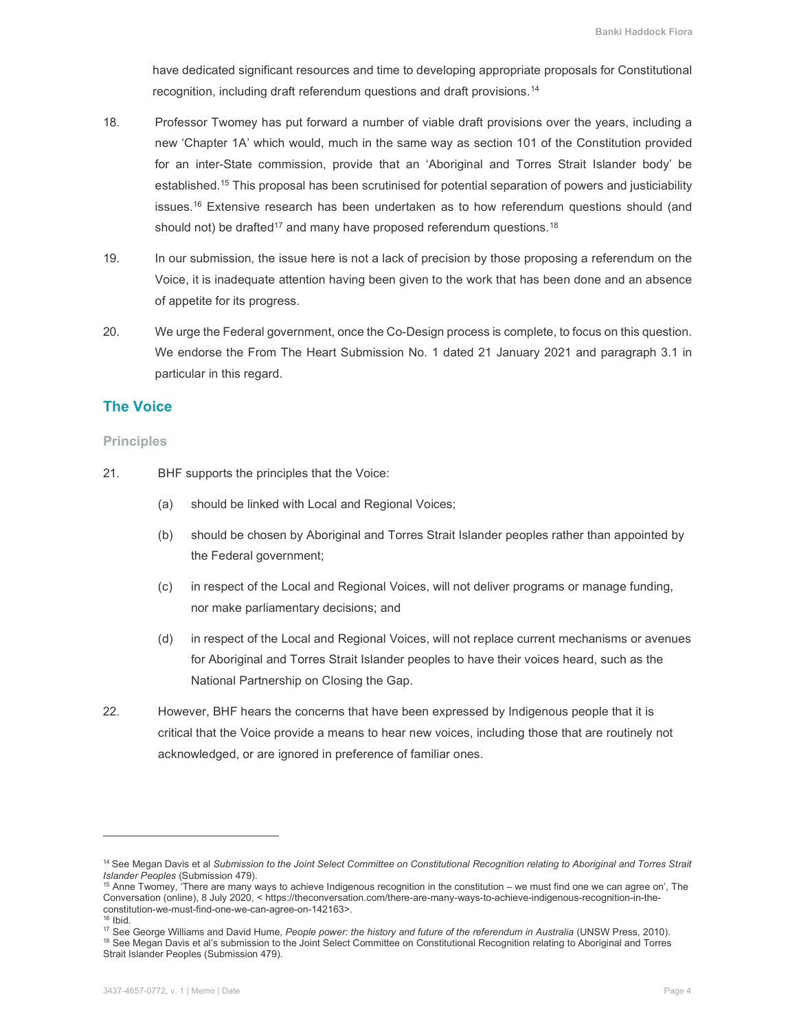have dedicated significant resources and time to developing appropriate proposals for Constitutional recognition, including draft referendum questions and draft provisions.<sup>14</sup>

- 18. **Professor Twomey has put forward a number of viable draft provisions over the years, including a**  new 'Chapter 1A' which would, much in the same way as section 101 of the Constitution provided for an inter-State commission, provide that an 'Aboriginal and Torres Strait Islander body' be established.<sup>15</sup> This proposal has been scrutinised for potential separation of powers and justiciability issues.16 Extensive research has been undertaken as to how referendum questions should (and should not) be drafted<sup>17</sup> and many have proposed referendum questions.<sup>18</sup>
- $19.$  Voice, it is inadequate attention having been given to the work that has been done and an absence of appetite for its progress. In our submission, the issue here is not a lack of precision by those proposing a referendum on the
- $20.$  We endorse the From The Heart Submission No. 1 dated 21 January 2021 and paragraph 3.1 in particular in this regard. We urge the Federal government, once the Co-Design process is complete, to focus on this question.

### The Voice

#### Principles

- $21.$ BHF supports the principles that the Voice:
	- $(a)$ should be linked with Local and Regional Voices;
	- $(b)$  the Federal government; should be chosen by Aboriginal and Torres Strait Islander peoples rather than appointed by
	- $(c)$  nor make parliamentary decisions; and in respect of the Local and Regional Voices, will not deliver programs or manage funding,
	- $(d)$  for Aboriginal and Torres Strait Islander peoples to have their voices heard, such as the National Partnership on Closing the Gap. in respect of the Local and Regional Voices, will not replace current mechanisms or avenues
- 22. However, BHF hears the concerns that have been expressed by Indigenous people that it is critical that the Voice provide a means to hear new voices, including those that are routinely not acknowledged, or are ignored in preference of familiar ones.

<sup>&</sup>lt;sup>14</sup> See Megan Davis et al Submission to the Joint Select Committee on Constitutional Recognition relating to Aboriginal and Torres Strait Islander Peoples (Submission 479).

*Islander Peoples* (Submission 479).<br><sup>15</sup> Anne Twomey, 'There are many ways to achieve Indigenous recognition in the constitution – we must find one we can agree on', The Conversation (online), 8 July 2020, < https://theconversation.com/there-are-many-ways-to-achieve-indigenous-recognition-in-theconstitution-we-must-find-one-we-can-agree-on-142163>.

<sup>&</sup>lt;sup>16</sup> Ibid.

<sup>&</sup>lt;sup>16</sup> Ibid.<br><sup>17</sup> See George Williams and David Hume, *People power: the history and future of the referendum in Australia (UNSW Press, 2010).* 

<sup>&</sup>lt;sup>18</sup> See Megan Davis et al's submission to the Joint Select Committee on Constitutional Recognition relating to Aboriginal and Torres Strait Islander Peoples (Submission 479).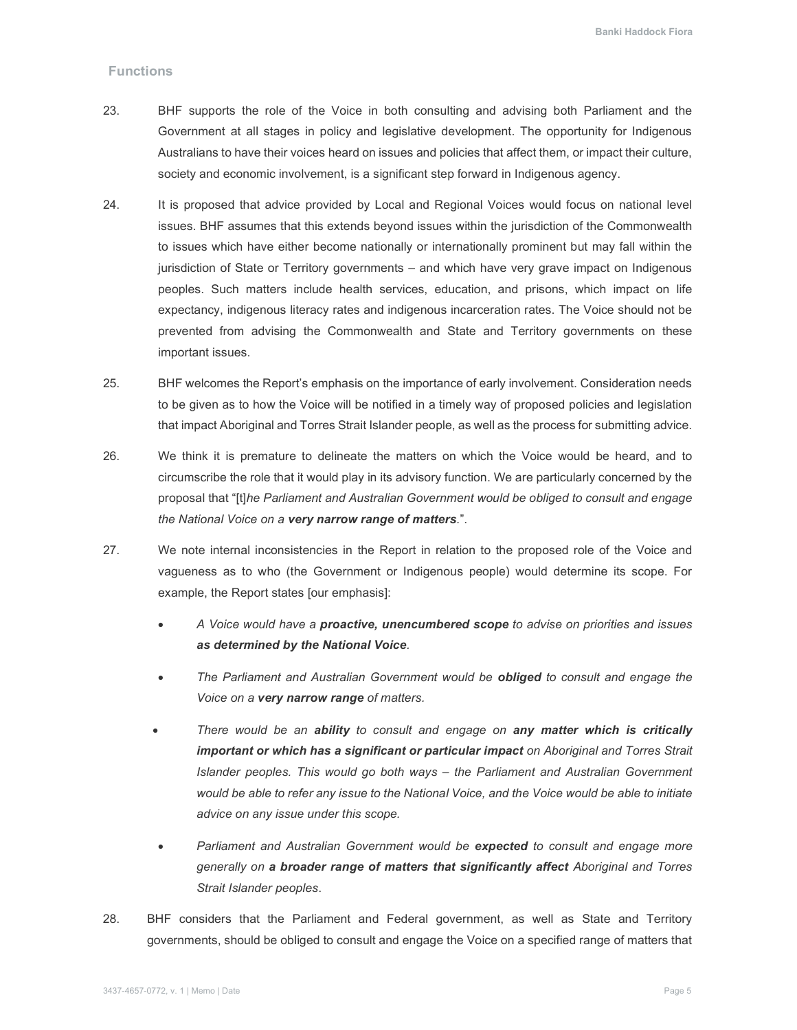#### **Functions**

- 23. Government at all stages in policy and legislative development. The opportunity for Indigenous Australians to have their voices heard on issues and policies that affect them, or impact their culture, society and economic involvement, is a significant step forward in Indigenous agency. BHF supports the role of the Voice in both consulting and advising both Parliament and the
- $24$  issues. BHF assumes that this extends beyond issues within the jurisdiction of the Commonwealth to issues which have either become nationally or internationally prominent but may fall within the jurisdiction of State or Territory governments – and which have very grave impact on Indigenous peoples. Such matters include health services, education, and prisons, which impact on life expectancy, indigenous literacy rates and indigenous incarceration rates. The Voice should not be prevented from advising the Commonwealth and State and Territory governments on these important issues. It is proposed that advice provided by Local and Regional Voices would focus on national level
- 25. to be given as to how the Voice will be notified in a timely way of proposed policies and legislation that impact Aboriginal and Torres Strait Islander people, as well as the process for submitting advice. BHF welcomes the Report's emphasis on the importance of early involvement. Consideration needs
- 26. circumscribe the role that it would play in its advisory function. We are particularly concerned by the proposal that "[t]he Parliament and Australian Government would be obliged to consult and engage the National Voice on a very narrow range of matters.". We think it is premature to delineate the matters on which the Voice would be heard, and to
- 27. vagueness as to who (the Government or Indigenous people) would determine its scope. For example, the Report states [our emphasis]: We note internal inconsistencies in the Report in relation to the proposed role of the Voice and
	- A Voice would have a **proactive, unencumbered scope** to advise on priorities and issues as determined by the National Voice.
	- The Parliament and Australian Government would be **obliged** to consult and engage the Voice on a very narrow range of matters.
	- There would be an ability to consult and engage on any matter which is critically important or which has a significant or particular impact on Aboriginal and Torres Strait Islander peoples. This would go both ways – the Parliament and Australian Government would be able to refer any issue to the National Voice, and the Voice would be able to initiate advice on any issue under this scope.
	- Parliament and Australian Government would be expected to consult and engage more generally on a broader range of matters that significantly affect Aboriginal and Torres Strait Islander peoples.
- 28. governments, should be obliged to consult and engage the Voice on a specified range of matters that BHF considers that the Parliament and Federal government, as well as State and Territory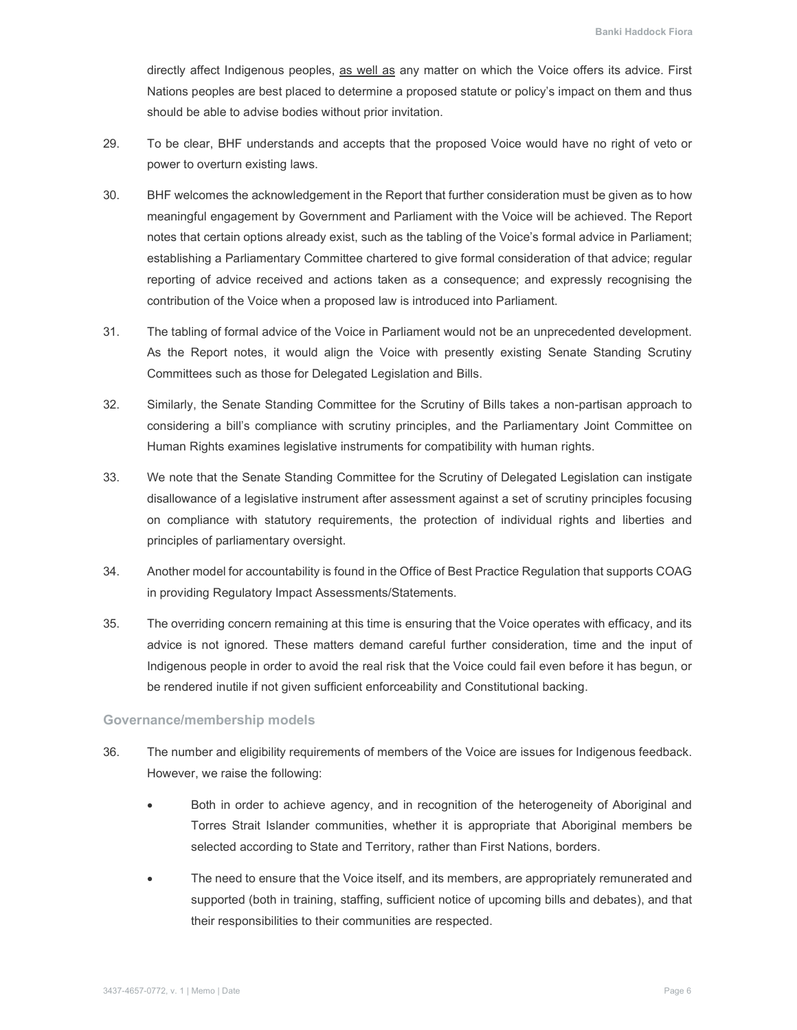directly affect Indigenous peoples, as well as any matter on which the Voice offers its advice. First Nations peoples are best placed to determine a proposed statute or policy's impact on them and thus should be able to advise bodies without prior invitation.

- 29. power to overturn existing laws. To be clear, BHF understands and accepts that the proposed Voice would have no right of veto or
- 30. meaningful engagement by Government and Parliament with the Voice will be achieved. The Report notes that certain options already exist, such as the tabling of the Voice's formal advice in Parliament; establishing a Parliamentary Committee chartered to give formal consideration of that advice; regular reporting of advice received and actions taken as a consequence; and expressly recognising the contribution of the Voice when a proposed law is introduced into Parliament. BHF welcomes the acknowledgement in the Report that further consideration must be given as to how
- $31.$  As the Report notes, it would align the Voice with presently existing Senate Standing Scrutiny Committees such as those for Delegated Legislation and Bills. The tabling of formal advice of the Voice in Parliament would not be an unprecedented development.
- 32. Similarly, the Senate Standing Committee for the Scrutiny of Bills takes a non-partisan approach to considering a bill's compliance with scrutiny principles, and the Parliamentary Joint Committee on Human Rights examines legislative instruments for compatibility with human rights.
- 33. disallowance of a legislative instrument after assessment against a set of scrutiny principles focusing on compliance with statutory requirements, the protection of individual rights and liberties and principles of parliamentary oversight. We note that the Senate Standing Committee for the Scrutiny of Delegated Legislation can instigate
- 34. Another model for accountability is found in the Office of Best Practice Regulation that supports COAG in providing Regulatory Impact Assessments/Statements.
- 35. advice is not ignored. These matters demand careful further consideration, time and the input of Indigenous people in order to avoid the real risk that the Voice could fail even before it has begun, or be rendered inutile if not given sufficient enforceability and Constitutional backing. The overriding concern remaining at this time is ensuring that the Voice operates with efficacy, and its

### Governance/membership models

- 36. However, we raise the following: The number and eligibility requirements of members of the Voice are issues for Indigenous feedback.
	- $\bullet$  Torres Strait Islander communities, whether it is appropriate that Aboriginal members be selected according to State and Territory, rather than First Nations, borders. Both in order to achieve agency, and in recognition of the heterogeneity of Aboriginal and
	- supported (both in training, staffing, sufficient notice of upcoming bills and debates), and that their responsibilities to their communities are respected. The need to ensure that the Voice itself, and its members, are appropriately remunerated and